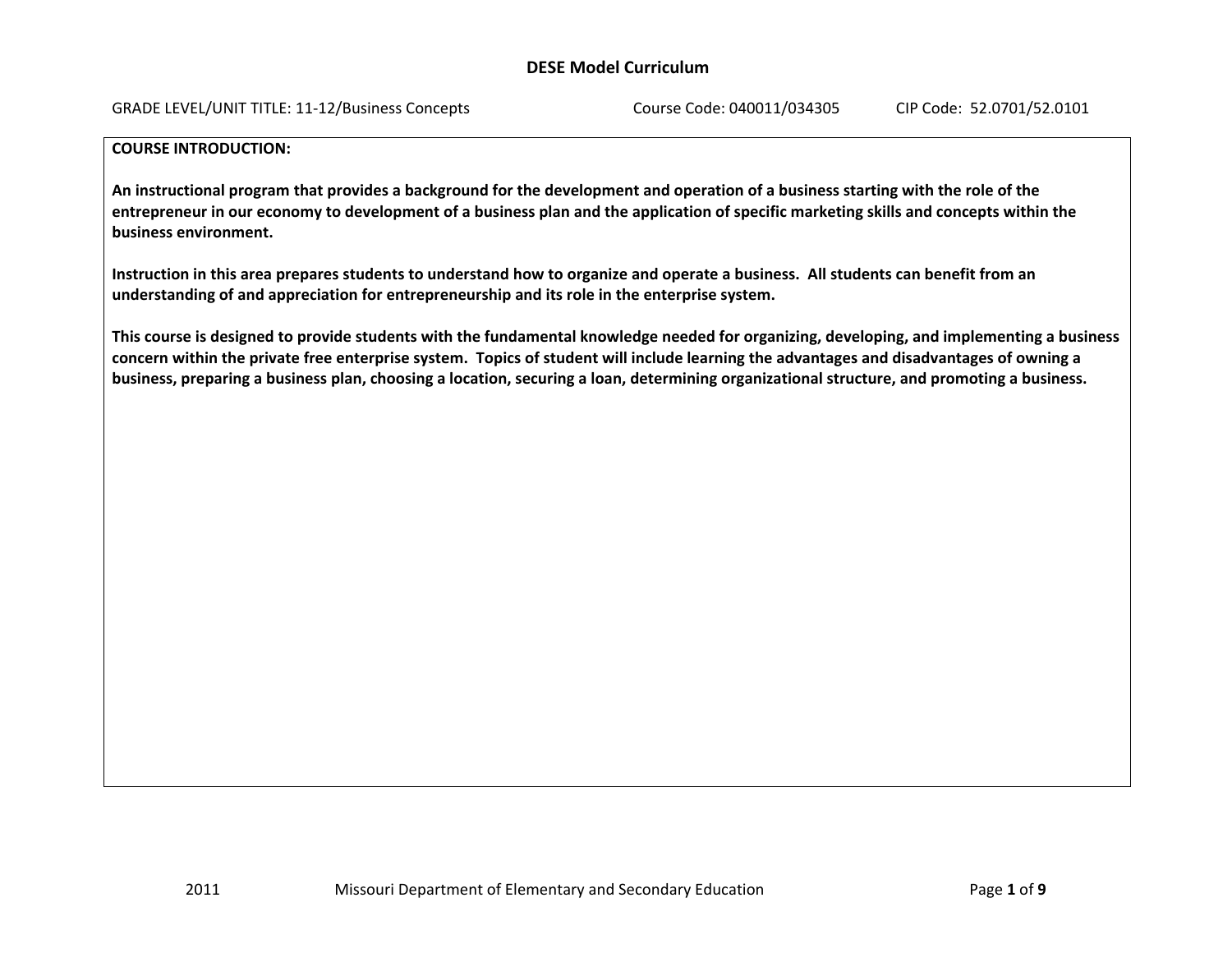GRADE LEVEL/UNIT TITLE: 11‐12/Business Concepts Course Code: 040011/034305 CIP Code: 52.0701/52.0101

#### **COURSE INTRODUCTION:**

An instructional program that provides a background for the development and operation of a business starting with the role of the entrepreneur in our economy to development of a business plan and the application of specific marketing skills and concepts within the **business environment.**

Instruction in this area prepares students to understand how to organize and operate a business. All students can benefit from an **understanding of and appreciation for entrepreneurship and its role in the enterprise system.**

This course is designed to provide students with the fundamental knowledge needed for organizing, developing, and implementing a business concern within the private free enterprise system. Topics of student will include learning the advantages and disadvantages of owning a business, preparing a business plan, choosing a location, securing a loan, determining organizational structure, and promoting a business.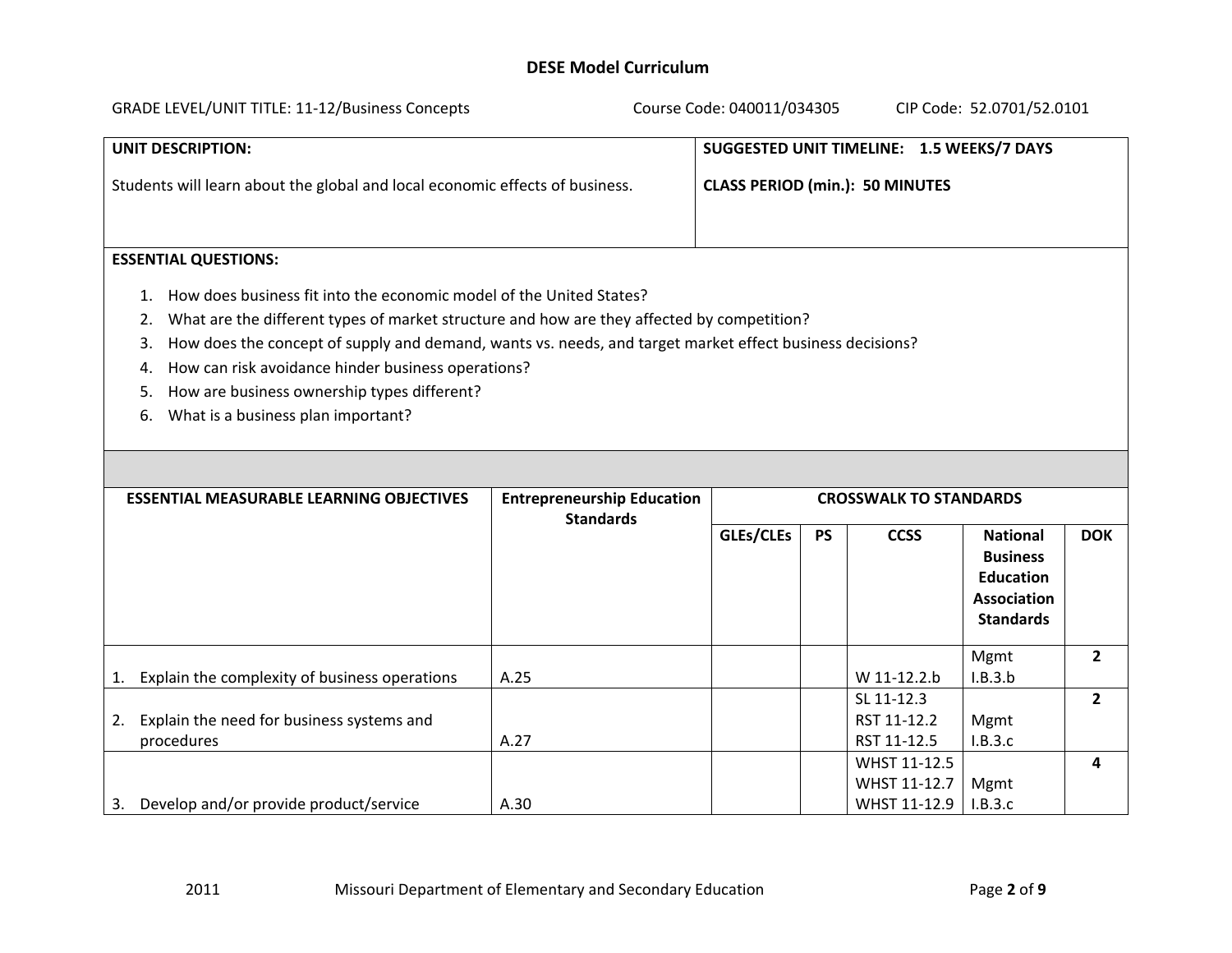| <b>GRADE LEVEL/UNIT TITLE: 11-12/Business Concepts</b>                       | Course Code: 040011/034305<br>CIP Code: 52.0701/52.0101 |
|------------------------------------------------------------------------------|---------------------------------------------------------|
| UNIT DESCRIPTION:                                                            | SUGGESTED UNIT TIMELINE: 1.5 WEEKS/7 DAYS               |
| Students will learn about the global and local economic effects of business. | <b>CLASS PERIOD (min.): 50 MINUTES</b>                  |
| <b>ECCENTIAL OUFCTIONIC.</b>                                                 |                                                         |

# **ESSENTIAL QUESTIONS:**

- 1. How does business fit into the economic model of the United States?
- 2. What are the different types of market structure and how are they affected by competition?
- 3. How does the concept of supply and demand, wants vs. needs, and target market effect business decisions?
- 4. How can risk avoidance hinder business operations?
- 5. How are business ownership types different?
- 6. What is a business plan important?

|    | <b>ESSENTIAL MEASURABLE LEARNING OBJECTIVES</b> | <b>Entrepreneurship Education</b> | <b>CROSSWALK TO STANDARDS</b> |           |              |                  |                |
|----|-------------------------------------------------|-----------------------------------|-------------------------------|-----------|--------------|------------------|----------------|
|    |                                                 | <b>Standards</b>                  |                               |           |              |                  |                |
|    |                                                 |                                   | GLEs/CLEs                     | <b>PS</b> | <b>CCSS</b>  | <b>National</b>  | <b>DOK</b>     |
|    |                                                 |                                   |                               |           |              | <b>Business</b>  |                |
|    |                                                 |                                   |                               |           |              | <b>Education</b> |                |
|    |                                                 |                                   |                               |           |              | Association      |                |
|    |                                                 |                                   |                               |           |              |                  |                |
|    |                                                 |                                   |                               |           |              | <b>Standards</b> |                |
|    |                                                 |                                   |                               |           |              | Mgmt             | $\overline{2}$ |
| 1. | Explain the complexity of business operations   | A.25                              |                               |           | W 11-12.2.b  | I.B.3.b          |                |
|    |                                                 |                                   |                               |           |              |                  |                |
|    |                                                 |                                   |                               |           | SL 11-12.3   |                  | $\overline{2}$ |
| 2. | Explain the need for business systems and       |                                   |                               |           | RST 11-12.2  | Mgmt             |                |
|    | procedures                                      | A.27                              |                               |           | RST 11-12.5  | I.B.3.c          |                |
|    |                                                 |                                   |                               |           | WHST 11-12.5 |                  | 4              |
|    |                                                 |                                   |                               |           | WHST 11-12.7 | Mgmt             |                |
| 3. | Develop and/or provide product/service          | A.30                              |                               |           | WHST 11-12.9 | I.B.3.c          |                |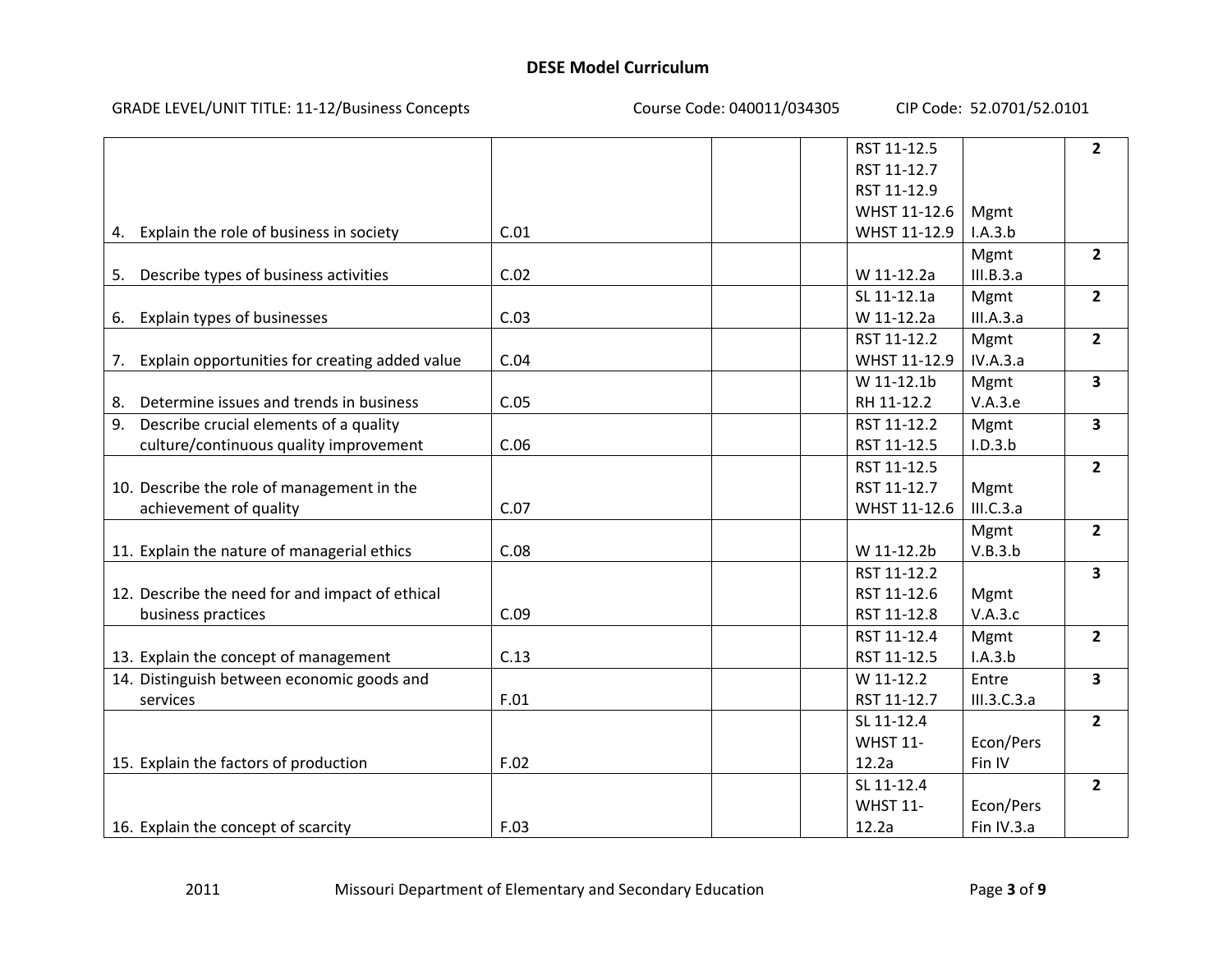#### GRADE LEVEL/UNIT TITLE: 11‐12/Business Concepts Course Code: 040011/034305 CIP Code: 52.0701/52.0101

|                                                      |      | RST 11-12.5     |              | $\overline{2}$          |
|------------------------------------------------------|------|-----------------|--------------|-------------------------|
|                                                      |      | RST 11-12.7     |              |                         |
|                                                      |      | RST 11-12.9     |              |                         |
|                                                      |      | WHST 11-12.6    | Mgmt         |                         |
| 4. Explain the role of business in society           | C.01 | WHST 11-12.9    | I.A.3.b      |                         |
|                                                      |      |                 | Mgmt         | $\overline{2}$          |
| 5. Describe types of business activities             | C.02 | W 11-12.2a      | III.B.3.a    |                         |
|                                                      |      | SL 11-12.1a     | Mgmt         | $\overline{2}$          |
| 6. Explain types of businesses                       | C.03 | W 11-12.2a      | III.A.3.a    |                         |
|                                                      |      | RST 11-12.2     | Mgmt         | $\overline{2}$          |
| Explain opportunities for creating added value<br>7. | C.04 | WHST 11-12.9    | IV.A.3.a     |                         |
|                                                      |      | W 11-12.1b      | Mgmt         | 3                       |
| Determine issues and trends in business<br>8.        | C.05 | RH 11-12.2      | V.A.3.e      |                         |
| Describe crucial elements of a quality<br>9.         |      | RST 11-12.2     | Mgmt         | $\overline{\mathbf{3}}$ |
| culture/continuous quality improvement               | C.06 | RST 11-12.5     | I.D.3.b      |                         |
|                                                      |      | RST 11-12.5     |              | $\overline{2}$          |
| 10. Describe the role of management in the           |      | RST 11-12.7     | Mgmt         |                         |
| achievement of quality                               | C.07 | WHST 11-12.6    | III.C.3.a    |                         |
|                                                      |      |                 | Mgmt         | $\overline{2}$          |
| 11. Explain the nature of managerial ethics          | C.08 | W 11-12.2b      | V.B.3.b      |                         |
|                                                      |      | RST 11-12.2     |              | $\overline{\mathbf{3}}$ |
| 12. Describe the need for and impact of ethical      |      | RST 11-12.6     | Mgmt         |                         |
| business practices                                   | C.09 | RST 11-12.8     | V.A.3.c      |                         |
|                                                      |      | RST 11-12.4     | Mgmt         | $\overline{2}$          |
| 13. Explain the concept of management                | C.13 | RST 11-12.5     | I.A.3.b      |                         |
| 14. Distinguish between economic goods and           |      | W 11-12.2       | Entre        | $\overline{\mathbf{3}}$ |
| services                                             | F.01 | RST 11-12.7     | III.3.C.3.a  |                         |
|                                                      |      | SL 11-12.4      |              | $\overline{2}$          |
|                                                      |      | <b>WHST 11-</b> | Econ/Pers    |                         |
| 15. Explain the factors of production                | F.02 | 12.2a           | Fin IV       |                         |
|                                                      |      | SL 11-12.4      |              | $\overline{2}$          |
|                                                      |      | <b>WHST 11-</b> | Econ/Pers    |                         |
| 16. Explain the concept of scarcity                  | F.03 | 12.2a           | Fin $IV.3.a$ |                         |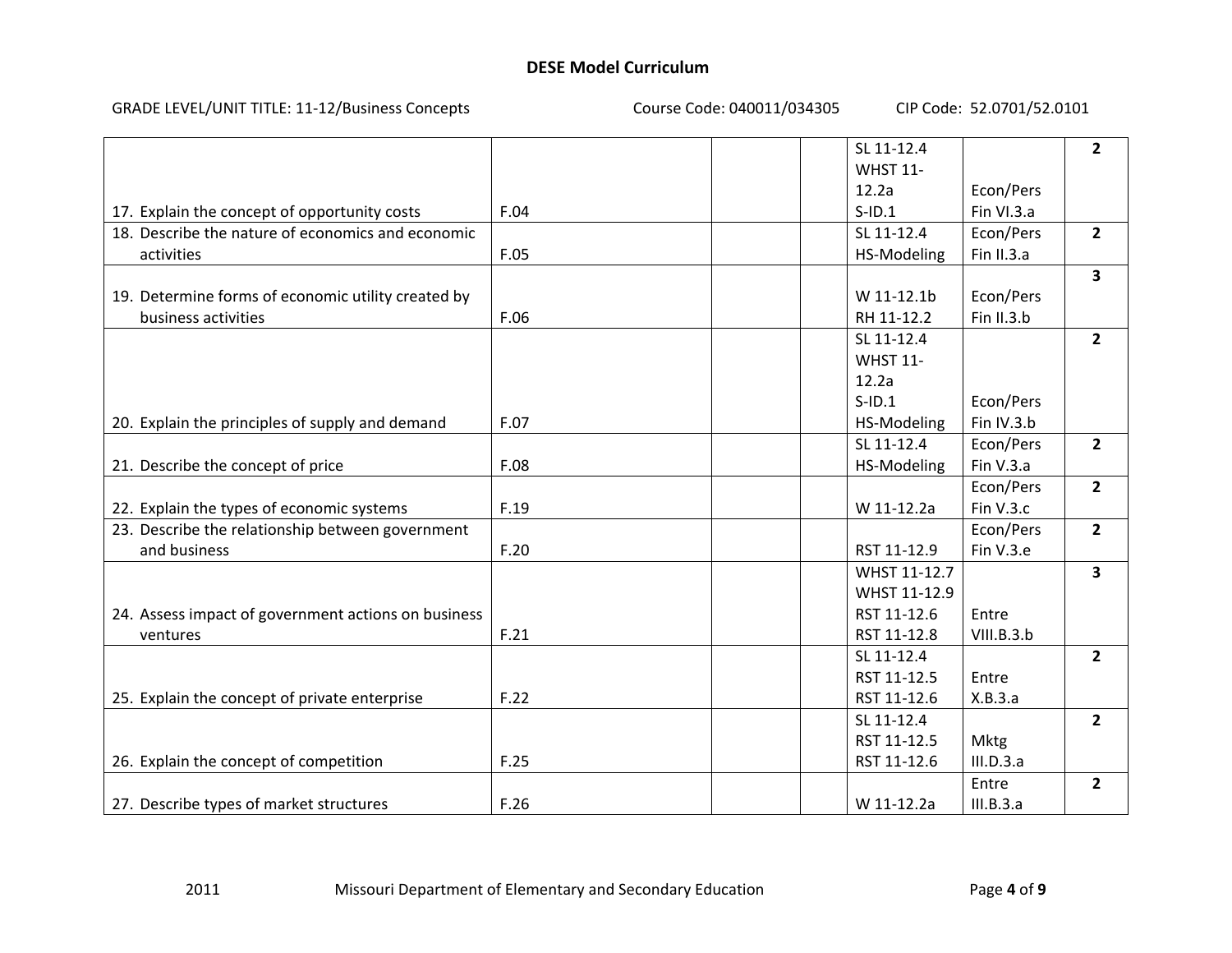#### GRADE LEVEL/UNIT TITLE: 11‐12/Business Concepts Course Code: 040011/034305 CIP Code: 52.0701/52.0101

|                                                     |      | SL 11-12.4      |            |                         |
|-----------------------------------------------------|------|-----------------|------------|-------------------------|
|                                                     |      |                 |            | $\overline{2}$          |
|                                                     |      | <b>WHST 11-</b> |            |                         |
|                                                     |      | 12.2a           | Econ/Pers  |                         |
| 17. Explain the concept of opportunity costs        | F.04 | $S$ -ID.1       | Fin VI.3.a |                         |
| 18. Describe the nature of economics and economic   |      | SL 11-12.4      | Econ/Pers  | $\overline{2}$          |
| activities                                          | F.05 | HS-Modeling     | Fin II.3.a |                         |
|                                                     |      |                 |            | $\overline{\mathbf{3}}$ |
| 19. Determine forms of economic utility created by  |      | W 11-12.1b      | Econ/Pers  |                         |
| business activities                                 | F.06 | RH 11-12.2      | Fin II.3.b |                         |
|                                                     |      | SL 11-12.4      |            | $\overline{2}$          |
|                                                     |      | <b>WHST 11-</b> |            |                         |
|                                                     |      | 12.2a           |            |                         |
|                                                     |      | $S$ -ID.1       | Econ/Pers  |                         |
| 20. Explain the principles of supply and demand     | F.07 | HS-Modeling     | Fin IV.3.b |                         |
|                                                     |      | SL 11-12.4      | Econ/Pers  | $\overline{2}$          |
| 21. Describe the concept of price                   | F.08 | HS-Modeling     | Fin V.3.a  |                         |
|                                                     |      |                 | Econ/Pers  | $\overline{2}$          |
| 22. Explain the types of economic systems           | F.19 | W 11-12.2a      | Fin V.3.c  |                         |
| 23. Describe the relationship between government    |      |                 | Econ/Pers  | $\overline{2}$          |
| and business                                        | F.20 | RST 11-12.9     | Fin V.3.e  |                         |
|                                                     |      | WHST 11-12.7    |            | $\overline{\mathbf{3}}$ |
|                                                     |      | WHST 11-12.9    |            |                         |
| 24. Assess impact of government actions on business |      | RST 11-12.6     | Entre      |                         |
| ventures                                            | F.21 | RST 11-12.8     | VIII.B.3.b |                         |
|                                                     |      | SL 11-12.4      |            |                         |
|                                                     |      | RST 11-12.5     |            | $\overline{2}$          |
|                                                     |      |                 | Entre      |                         |
| 25. Explain the concept of private enterprise       | F.22 | RST 11-12.6     | X.B.3.a    |                         |
|                                                     |      | SL 11-12.4      |            | $\overline{2}$          |
|                                                     |      | RST 11-12.5     | Mktg       |                         |
| 26. Explain the concept of competition              | F.25 | RST 11-12.6     | III.D.3.a  |                         |
|                                                     |      |                 | Entre      | $\overline{2}$          |
| 27. Describe types of market structures             | F.26 | W 11-12.2a      | III.B.3.a  |                         |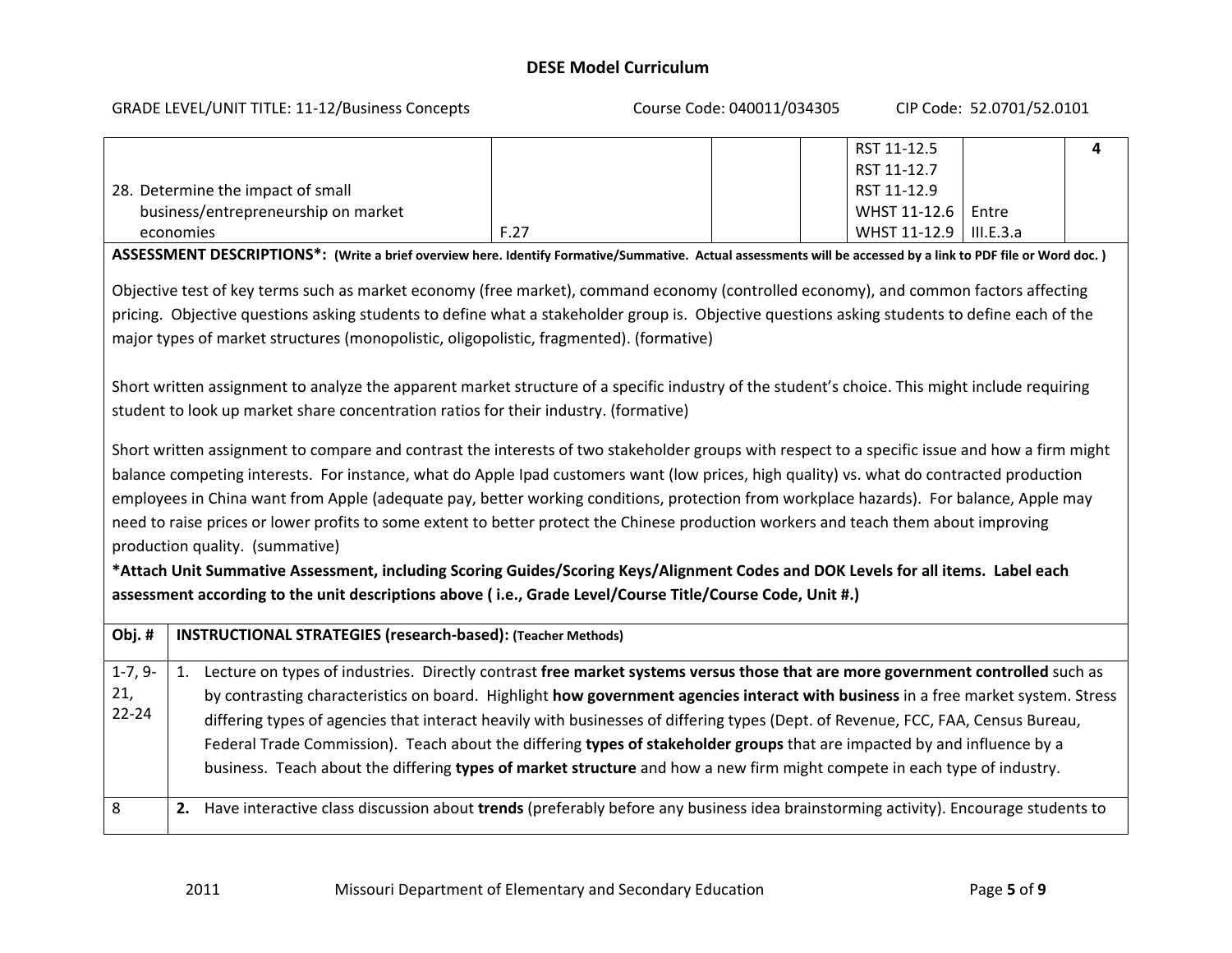#### GRADE LEVEL/UNIT TITLE: 11‐12/Business Concepts Course Code: 040011/034305 CIP Code: 52.0701/52.0101

|                                                                                                                                                                                                                                                |                                                                                                                                                               |      |  |  | RST 11-12.5  |           | 4 |
|------------------------------------------------------------------------------------------------------------------------------------------------------------------------------------------------------------------------------------------------|---------------------------------------------------------------------------------------------------------------------------------------------------------------|------|--|--|--------------|-----------|---|
|                                                                                                                                                                                                                                                |                                                                                                                                                               |      |  |  | RST 11-12.7  |           |   |
|                                                                                                                                                                                                                                                | 28. Determine the impact of small                                                                                                                             |      |  |  | RST 11-12.9  |           |   |
|                                                                                                                                                                                                                                                | business/entrepreneurship on market                                                                                                                           |      |  |  | WHST 11-12.6 | Entre     |   |
|                                                                                                                                                                                                                                                | economies                                                                                                                                                     | F.27 |  |  | WHST 11-12.9 | III.E.3.a |   |
|                                                                                                                                                                                                                                                | ASSESSMENT DESCRIPTIONS*: (Write a brief overview here. Identify Formative/Summative. Actual assessments will be accessed by a link to PDF file or Word doc.) |      |  |  |              |           |   |
|                                                                                                                                                                                                                                                | Objective test of key terms such as market economy (free market), command economy (controlled economy), and common factors affecting                          |      |  |  |              |           |   |
|                                                                                                                                                                                                                                                | pricing. Objective questions asking students to define what a stakeholder group is. Objective questions asking students to define each of the                 |      |  |  |              |           |   |
|                                                                                                                                                                                                                                                | major types of market structures (monopolistic, oligopolistic, fragmented). (formative)                                                                       |      |  |  |              |           |   |
|                                                                                                                                                                                                                                                |                                                                                                                                                               |      |  |  |              |           |   |
|                                                                                                                                                                                                                                                | Short written assignment to analyze the apparent market structure of a specific industry of the student's choice. This might include requiring                |      |  |  |              |           |   |
|                                                                                                                                                                                                                                                | student to look up market share concentration ratios for their industry. (formative)                                                                          |      |  |  |              |           |   |
|                                                                                                                                                                                                                                                |                                                                                                                                                               |      |  |  |              |           |   |
|                                                                                                                                                                                                                                                | Short written assignment to compare and contrast the interests of two stakeholder groups with respect to a specific issue and how a firm might                |      |  |  |              |           |   |
|                                                                                                                                                                                                                                                | balance competing interests. For instance, what do Apple Ipad customers want (low prices, high quality) vs. what do contracted production                     |      |  |  |              |           |   |
|                                                                                                                                                                                                                                                | employees in China want from Apple (adequate pay, better working conditions, protection from workplace hazards). For balance, Apple may                       |      |  |  |              |           |   |
|                                                                                                                                                                                                                                                | need to raise prices or lower profits to some extent to better protect the Chinese production workers and teach them about improving                          |      |  |  |              |           |   |
|                                                                                                                                                                                                                                                | production quality. (summative)                                                                                                                               |      |  |  |              |           |   |
|                                                                                                                                                                                                                                                |                                                                                                                                                               |      |  |  |              |           |   |
| *Attach Unit Summative Assessment, including Scoring Guides/Scoring Keys/Alignment Codes and DOK Levels for all items. Label each<br>assessment according to the unit descriptions above (i.e., Grade Level/Course Title/Course Code, Unit #.) |                                                                                                                                                               |      |  |  |              |           |   |
|                                                                                                                                                                                                                                                |                                                                                                                                                               |      |  |  |              |           |   |
| Obj.#                                                                                                                                                                                                                                          | <b>INSTRUCTIONAL STRATEGIES (research-based): (Teacher Methods)</b>                                                                                           |      |  |  |              |           |   |
| $1-7, 9-$                                                                                                                                                                                                                                      | 1. Lecture on types of industries. Directly contrast free market systems versus those that are more government controlled such as                             |      |  |  |              |           |   |
|                                                                                                                                                                                                                                                | 21,<br>by contrasting characteristics on board. Highlight how government agencies interact with business in a free market system. Stress                      |      |  |  |              |           |   |
| $22 - 24$<br>differing types of agencies that interact heavily with businesses of differing types (Dept. of Revenue, FCC, FAA, Census Bureau,                                                                                                  |                                                                                                                                                               |      |  |  |              |           |   |
| Federal Trade Commission). Teach about the differing types of stakeholder groups that are impacted by and influence by a                                                                                                                       |                                                                                                                                                               |      |  |  |              |           |   |
|                                                                                                                                                                                                                                                | business. Teach about the differing types of market structure and how a new firm might compete in each type of industry.                                      |      |  |  |              |           |   |
|                                                                                                                                                                                                                                                |                                                                                                                                                               |      |  |  |              |           |   |
| 8                                                                                                                                                                                                                                              | 2. Have interactive class discussion about trends (preferably before any business idea brainstorming activity). Encourage students to                         |      |  |  |              |           |   |
|                                                                                                                                                                                                                                                |                                                                                                                                                               |      |  |  |              |           |   |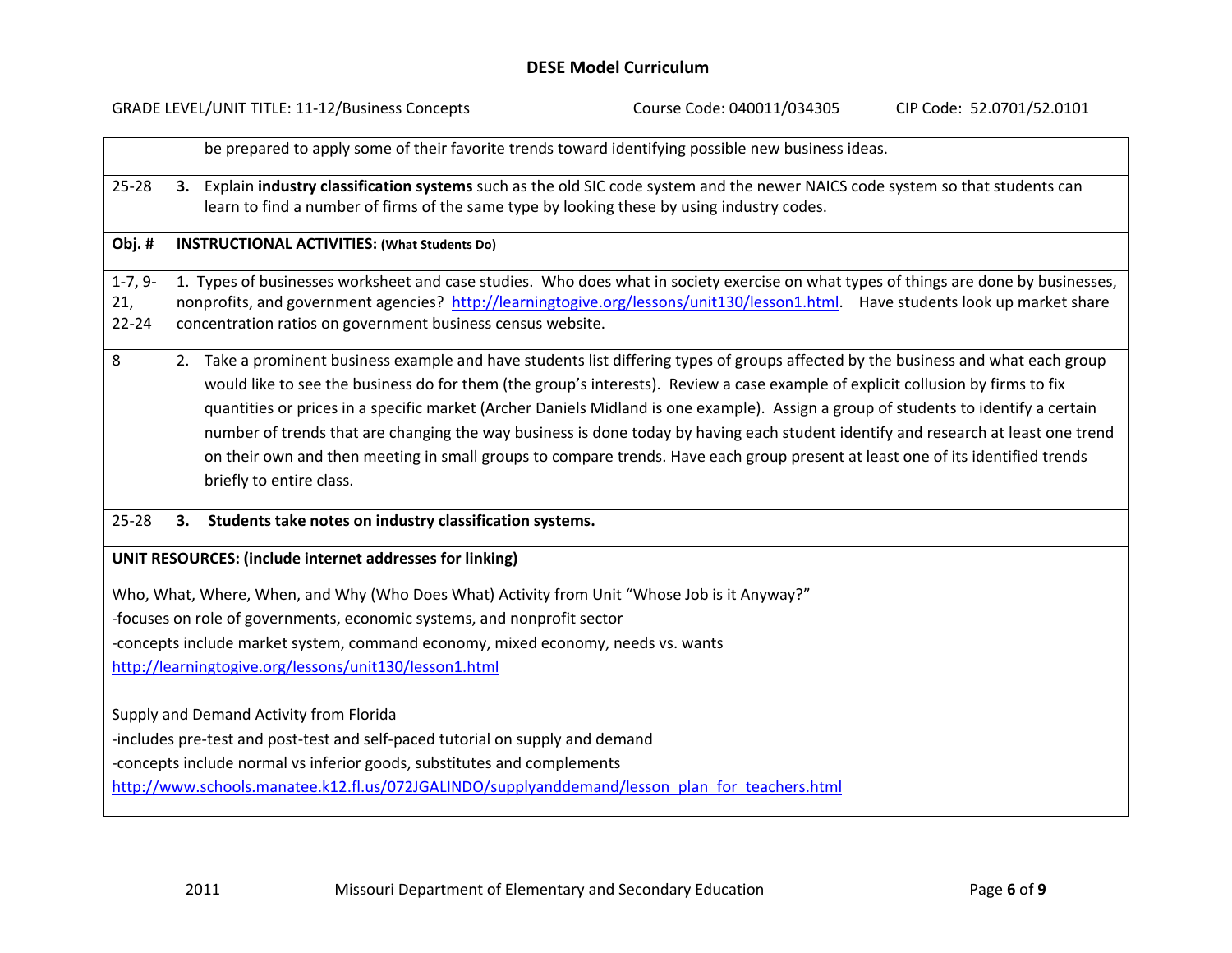|                               | <b>GRADE LEVEL/UNIT TITLE: 11-12/Business Concepts</b>                                                                                                                                                                                                                                                                                                                                                                                                                                                                                                                                                                                                                                                          | Course Code: 040011/034305 | CIP Code: 52.0701/52.0101 |
|-------------------------------|-----------------------------------------------------------------------------------------------------------------------------------------------------------------------------------------------------------------------------------------------------------------------------------------------------------------------------------------------------------------------------------------------------------------------------------------------------------------------------------------------------------------------------------------------------------------------------------------------------------------------------------------------------------------------------------------------------------------|----------------------------|---------------------------|
|                               | be prepared to apply some of their favorite trends toward identifying possible new business ideas.                                                                                                                                                                                                                                                                                                                                                                                                                                                                                                                                                                                                              |                            |                           |
| $25 - 28$                     | 3. Explain industry classification systems such as the old SIC code system and the newer NAICS code system so that students can<br>learn to find a number of firms of the same type by looking these by using industry codes.                                                                                                                                                                                                                                                                                                                                                                                                                                                                                   |                            |                           |
| Obj.#                         | <b>INSTRUCTIONAL ACTIVITIES: (What Students Do)</b>                                                                                                                                                                                                                                                                                                                                                                                                                                                                                                                                                                                                                                                             |                            |                           |
| $1-7, 9-$<br>21,<br>$22 - 24$ | 1. Types of businesses worksheet and case studies. Who does what in society exercise on what types of things are done by businesses,<br>nonprofits, and government agencies? http://learningtogive.org/lessons/unit130/lesson1.html. Have students look up market share<br>concentration ratios on government business census website.                                                                                                                                                                                                                                                                                                                                                                          |                            |                           |
| 8                             | 2. Take a prominent business example and have students list differing types of groups affected by the business and what each group<br>would like to see the business do for them (the group's interests). Review a case example of explicit collusion by firms to fix<br>quantities or prices in a specific market (Archer Daniels Midland is one example). Assign a group of students to identify a certain<br>number of trends that are changing the way business is done today by having each student identify and research at least one trend<br>on their own and then meeting in small groups to compare trends. Have each group present at least one of its identified trends<br>briefly to entire class. |                            |                           |
| $25 - 28$                     | Students take notes on industry classification systems.<br>3.                                                                                                                                                                                                                                                                                                                                                                                                                                                                                                                                                                                                                                                   |                            |                           |
|                               | UNIT RESOURCES: (include internet addresses for linking)                                                                                                                                                                                                                                                                                                                                                                                                                                                                                                                                                                                                                                                        |                            |                           |
|                               | Who, What, Where, When, and Why (Who Does What) Activity from Unit "Whose Job is it Anyway?"<br>-focuses on role of governments, economic systems, and nonprofit sector<br>-concepts include market system, command economy, mixed economy, needs vs. wants<br>http://learningtogive.org/lessons/unit130/lesson1.html                                                                                                                                                                                                                                                                                                                                                                                           |                            |                           |
|                               | Supply and Demand Activity from Florida<br>-includes pre-test and post-test and self-paced tutorial on supply and demand<br>-concepts include normal vs inferior goods, substitutes and complements<br>http://www.schools.manatee.k12.fl.us/072JGALINDO/supplyanddemand/lesson plan for teachers.html                                                                                                                                                                                                                                                                                                                                                                                                           |                            |                           |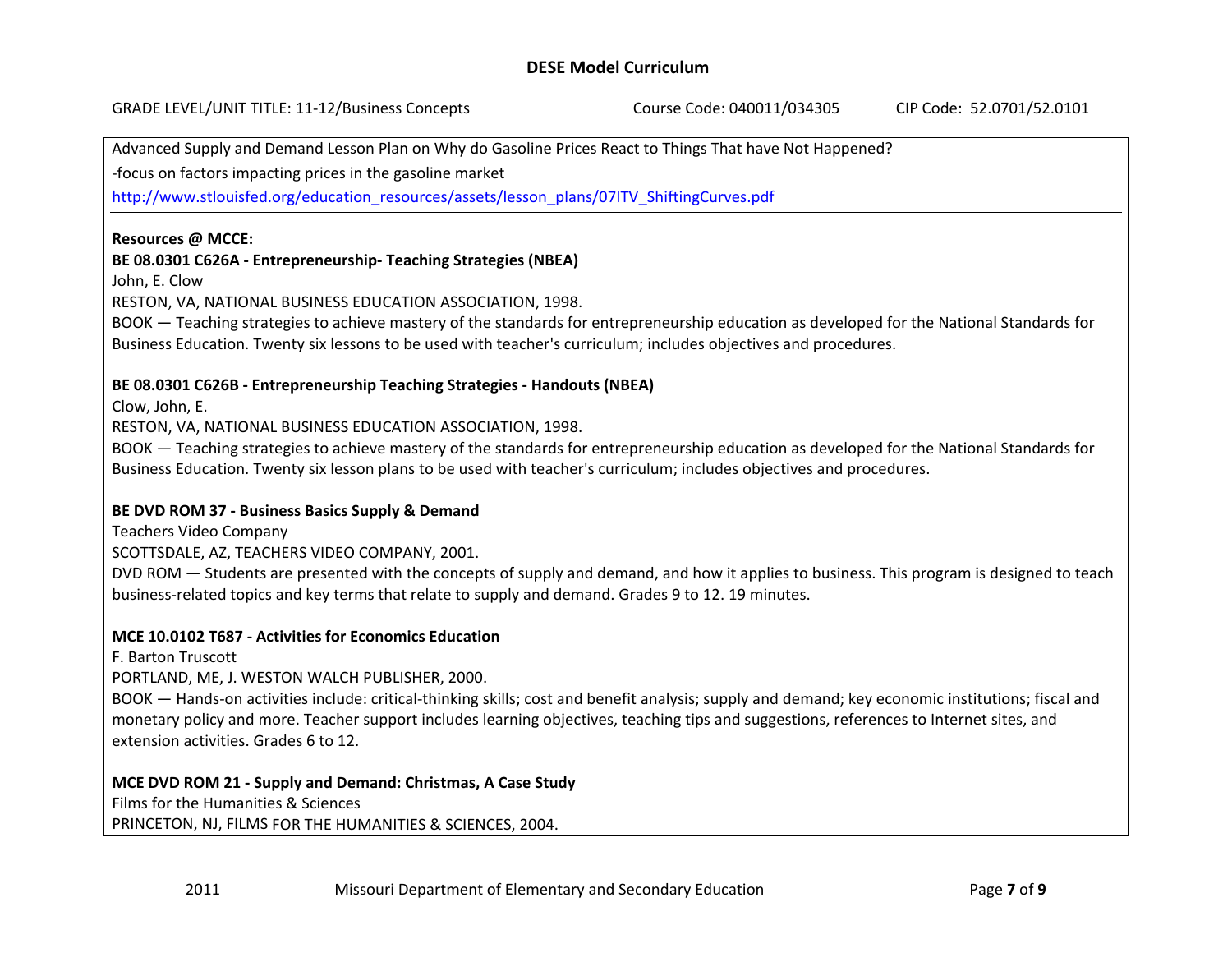GRADE LEVEL/UNIT TITLE: 11‐12/Business Concepts Course Code: 040011/034305 CIP Code: 52.0701/52.0101

Advanced Supply and Demand Lesson Plan on Why do Gasoline Prices React to Things That have Not Happened?

‐focus on factors impacting prices in the gasoline market

http://www.stlouisfed.org/education\_resources/assets/lesson\_plans/07ITV\_ShiftingCurves.pdf

#### **Resources @ MCCE:**

#### **BE 08.0301 C626A ‐ Entrepreneurship‐ Teaching Strategies (NBEA)**

John, E. Clow

RESTON, VA, NATIONAL BUSINESS EDUCATION ASSOCIATION, 1998.

BOOK — Teaching strategies to achieve mastery of the standards for entrepreneurship education as developed for the National Standards for Business Education. Twenty six lessons to be used with teacher's curriculum; includes objectives and procedures.

#### **BE 08.0301 C626B ‐ Entrepreneurship Teaching Strategies ‐ Handouts (NBEA)**

Clow, John, E.

RESTON, VA, NATIONAL BUSINESS EDUCATION ASSOCIATION, 1998.

BOOK — Teaching strategies to achieve mastery of the standards for entrepreneurship education as developed for the National Standards for Business Education. Twenty six lesson plans to be used with teacher's curriculum; includes objectives and procedures.

### **BE DVD ROM 37 ‐ Business Basics Supply & Demand**

Teachers Video Company

SCOTTSDALE, AZ, TEACHERS VIDEO COMPANY, 2001.

DVD ROM — Students are presented with the concepts of supply and demand, and how it applies to business. This program is designed to teach business‐related topics and key terms that relate to supply and demand. Grades 9 to 12. 19 minutes.

### **MCE 10.0102 T687 ‐ Activities for Economics Education**

F. Barton Truscott

PORTLAND, ME, J. WESTON WALCH PUBLISHER, 2000.

BOOK — Hands‐on activities include: critical‐thinking skills; cost and benefit analysis; supply and demand; key economic institutions; fiscal and monetary policy and more. Teacher support includes learning objectives, teaching tips and suggestions, references to Internet sites, and extension activities. Grades 6 to 12.

### **MCE DVD ROM 21 ‐ Supply and Demand: Christmas, A Case Study**

Films for the Humanities & Sciences

PRINCETON, NJ, FILMS FOR THE HUMANITIES & SCIENCES, 2004.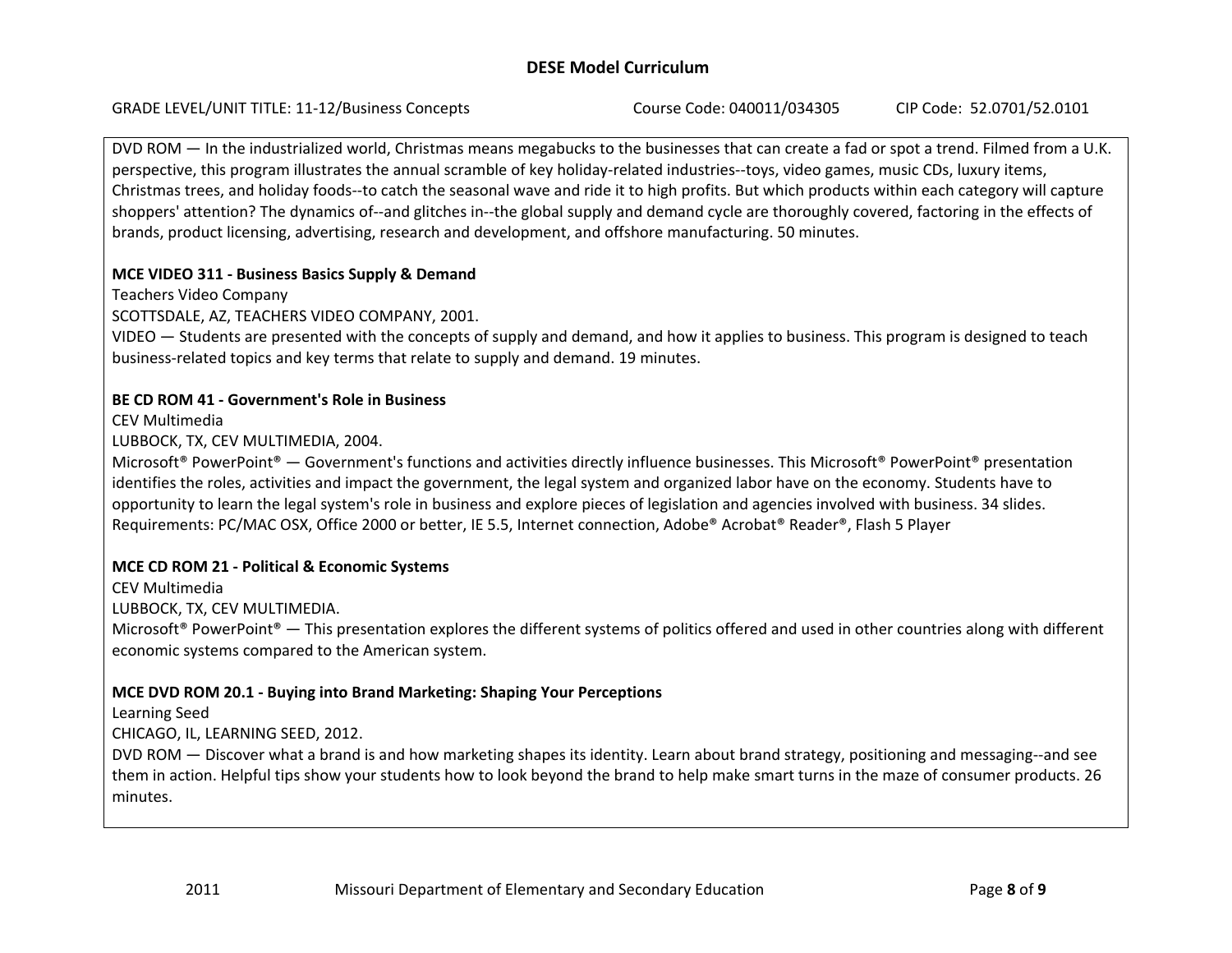GRADE LEVEL/UNIT TITLE: 11‐12/Business Concepts Course Code: 040011/034305 CIP Code: 52.0701/52.0101

DVD ROM — In the industrialized world, Christmas means megabucks to the businesses that can create <sup>a</sup> fad or spot <sup>a</sup> trend. Filmed from <sup>a</sup> U.K. perspective, this program illustrates the annual scramble of key holiday-related industries—toys, video games, music CDs, luxury items, Christmas trees, and holiday foods‐‐to catch the seasonal wave and ride it to high profits. But which products within each category will capture shoppers' attention? The dynamics of--and glitches in--the global supply and demand cycle are thoroughly covered, factoring in the effects of brands, product licensing, advertising, research and development, and offshore manufacturing. 50 minutes.

# **MCE VIDEO 311 ‐ Business Basics Supply & Demand**

Teachers Video Company

SCOTTSDALE, AZ, TEACHERS VIDEO COMPANY, 2001.

VIDEO — Students are presented with the concepts of supply and demand, and how it applies to business. This program is designed to teach business‐related topics and key terms that relate to supply and demand. 19 minutes.

# **BE CD ROM 41 ‐ Government's Role in Business**

CEV Multimedia

LUBBOCK, TX, CEV MULTIMEDIA, 2004.

Microsoft® PowerPoint® — Government's functions and activities directly influence businesses. This Microsoft® PowerPoint® presentation identifies the roles, activities and impact the government, the legal system and organized labor have on the economy. Students have to opportunity to learn the legal system's role in business and explore pieces of legislation and agencies involved with business. 34 slides. Requirements: PC/MAC OSX, Office 2000 or better, IE 5.5, Internet connection, Adobe® Acrobat® Reader®, Flash 5 Player

# **MCE CD ROM 21 ‐ Political & Economic Systems**

CEV Multimedia

LUBBOCK, TX, CEV MULTIMEDIA.

Microsoft® PowerPoint® — This presentation explores the different systems of politics offered and used in other countries along with different economic systems compared to the American system.

# **MCE DVD ROM 20.1 ‐ Buying into Brand Marketing: Shaping Your Perceptions**

Learning Seed

CHICAGO, IL, LEARNING SEED, 2012.

DVD ROM — Discover what <sup>a</sup> brand is and how marketing shapes its identity. Learn about brand strategy, positioning and messaging‐‐and see them in action. Helpful tips show your students how to look beyond the brand to help make smart turns in the maze of consumer products. 26 minutes.